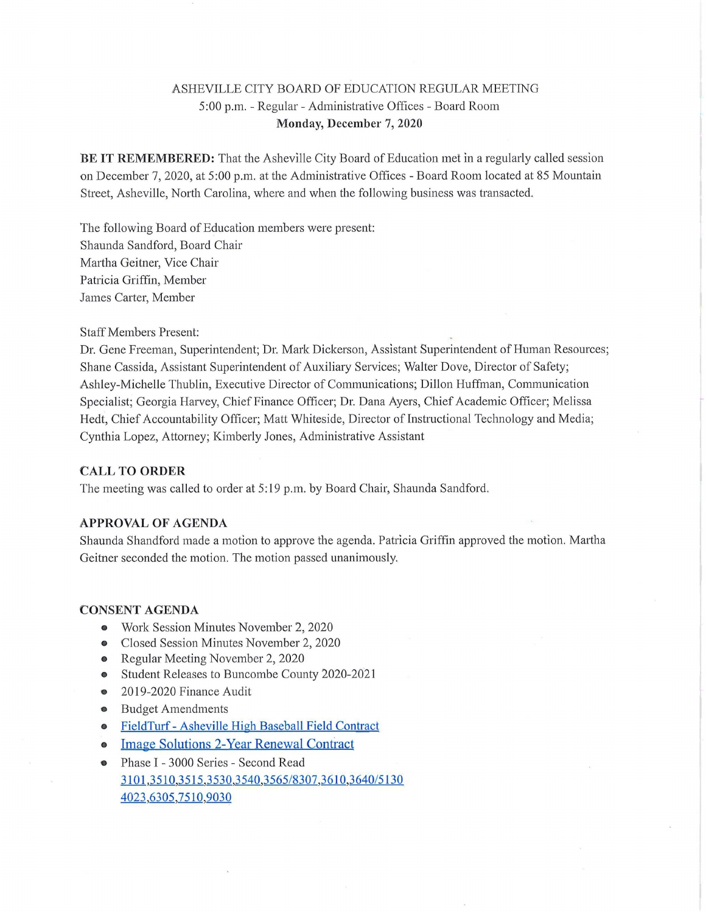# ASHEVILLE CITY BOARD OF EDUCATION REGULAR MEETING 5:00 p.m. - Regular - Administrative Offices - Board Room Monday, December 7, 2020

BE IT REMEMBERED: That the Asheville City Board of Education met in a regularly called session on December7, 2020, at 5:00 p.m. at the Administrative Offices - Board Room located at 85 Mountain Street, Asheville, North Carolina, where and when the following business wastransacted.

The following Board of Education members were present: Shaunda Sandford, Board Chair Martha Geitner, Vice Chair Patricia Griffin, Member James Carter, Member

Staff Members Present: ;

Dr. Gene Freeman, Superintendent; Dr. Mark Dickerson, Assistant Superintendent of Human Resources; Shane Cassida, Assistant Superintendent of Auxiliary Services; Walter Dove, Director of Safety; Ashley-Michelle Thublin, Executive Director of Communications; Dillon Huffman, Communication Specialist; Georgia Harvey, Chief Finance Officer; Dr. Dana Ayers, Chief Academic Officer; Melissa Hedt, Chief Accountability Officer; Matt Whiteside, Director of Instructional Technology and Media; Cynthia Lopez, Attorney; Kimberly Jones, Administrative Assistant

## CALL TO ORDER

The meeting was called to order at 5:19 p.m. by Board Chair, Shaunda Sandford.

## APPROVAL OF AGENDA

Shaunda Shandford made a motion to approve the agenda. Patricia Griffin approved the motion. Martha Geitner seconded the motion. The motion passed unanimously.

#### CONSENT AGENDA

- Work Session Minutes November 2, 2020
- Closed Session Minutes November 2, 2020
- Regular Meeting November2, 2020  $\bullet$
- Student Releases to Buncombe County 2020-2021  $\bullet$
- 2019-2020 Finance Audit  $\bullet$
- Budget Amendments  $\bullet$
- FieldTurf Asheville High Baseball Field Contract  $\bullet$
- Image Solutions 2-Year Renewal Contract  $\bullet$
- Phase I 3000 Series Second Read  $\bullet$ 3101,3510,3515,3530,3540,3565/8307,3610,3640/51304023,6305,7510,9030